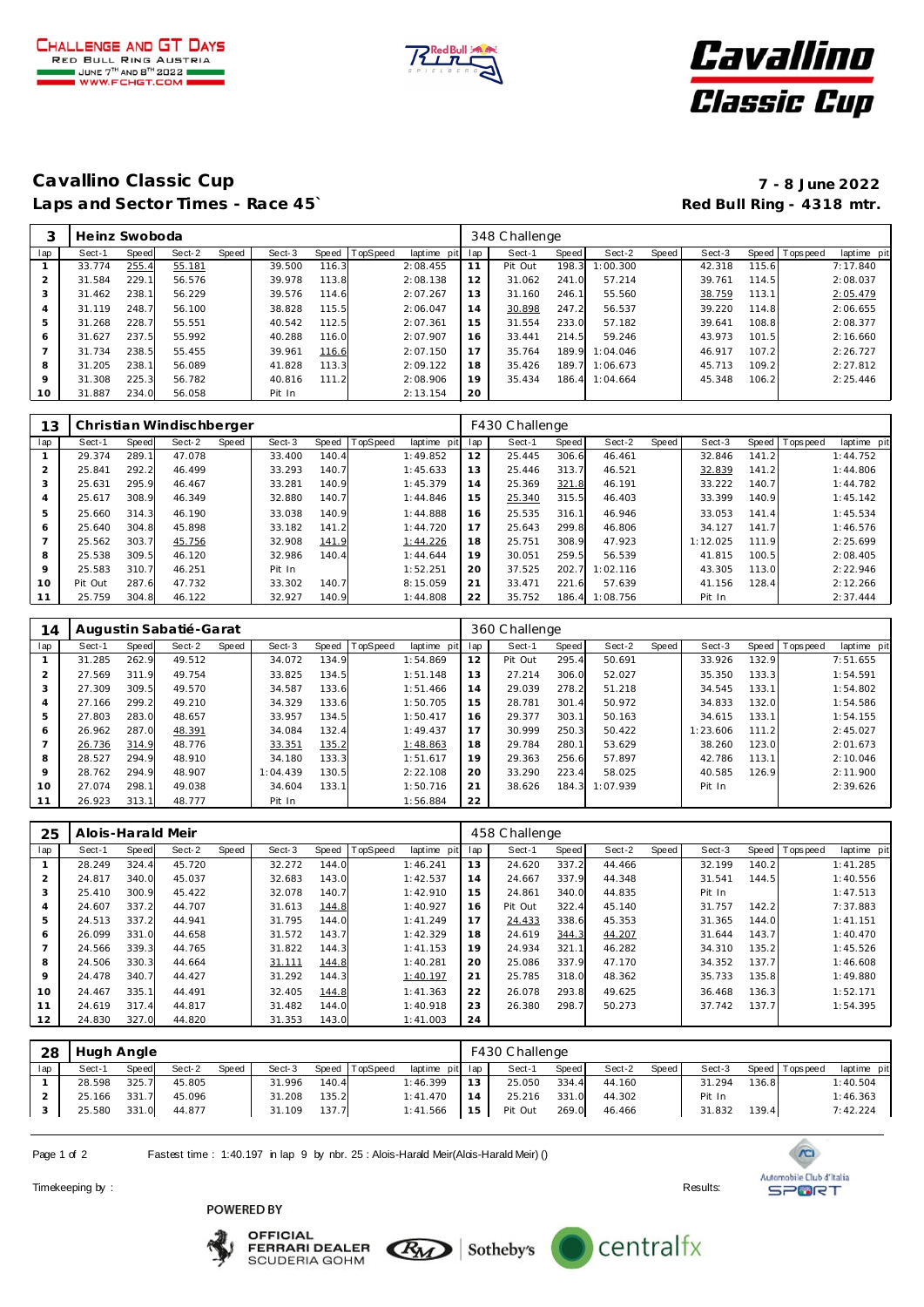





### **Cavallino Classic Cup 7 - 8 June 2022** Laps and Sector Times - Race 45<sup>°</sup> **Red Bull Ring - 4318 mtr. Red Bull Ring - 4318 mtr.**

|     | Heinz Swoboda |       |        |       |        |       |                |             | 348 Challenge |         |       |          |       |        |       |                 |             |  |
|-----|---------------|-------|--------|-------|--------|-------|----------------|-------------|---------------|---------|-------|----------|-------|--------|-------|-----------------|-------------|--|
| lap | Sect-1        | Speed | Sect-2 | Speed | Sect-3 |       | Speed TopSpeed | laptime pit | lap           | Sect-1  | Speed | Sect-2   | Speed | Sect-3 |       | Speed Tops peed | laptime pit |  |
|     | 33.774        | 255.4 | 55.181 |       | 39.500 | 116.3 |                | 2:08.455    | 11            | Pit Out | 198.3 | 1:00.300 |       | 42.318 | 115.6 |                 | 7:17.840    |  |
|     | 31.584        | 229.1 | 56.576 |       | 39.978 | 113.8 |                | 2:08.138    | 12            | 31.062  | 241.0 | 57.214   |       | 39.761 | 114.5 |                 | 2:08.037    |  |
| 3   | 31.462        | 238.1 | 56.229 |       | 39.576 | 114.6 |                | 2:07.267    | 13            | 31.160  | 246.1 | 55.560   |       | 38.759 | 113.1 |                 | 2:05.479    |  |
| 4   | 31.119        | 248.7 | 56.100 |       | 38.828 | 115.5 |                | 2:06.047    | 14            | 30.898  | 247.2 | 56.537   |       | 39.220 | 114.8 |                 | 2:06.655    |  |
| 5   | 31.268        | 228.7 | 55.551 |       | 40.542 | 112.5 |                | 2:07.361    | 15            | 31.554  | 233.0 | 57.182   |       | 39.641 | 108.8 |                 | 2:08.377    |  |
| 6   | 31.627        | 237.5 | 55.992 |       | 40.288 | 116.0 |                | 2:07.907    | 16            | 33.441  | 214.5 | 59.246   |       | 43.973 | 101.5 |                 | 2:16.660    |  |
|     | 31.734        | 238.5 | 55.455 |       | 39.961 | 116.6 |                | 2:07.150    | 17            | 35.764  | 189.9 | 1:04.046 |       | 46.917 | 107.2 |                 | 2:26.727    |  |
| 8   | 31.205        | 238.1 | 56.089 |       | 41.828 | 113.3 |                | 2:09.122    | 18            | 35.426  | 189.7 | 1:06.673 |       | 45.713 | 109.2 |                 | 2:27.812    |  |
| 9   | 31.308        | 225.3 | 56.782 |       | 40.816 | 111.2 |                | 2:08.906    | 19            | 35.434  | 186.4 | 1:04.664 |       | 45.348 | 106.2 |                 | 2:25.446    |  |
| 10  | 31.887        | 234.0 | 56.058 |       | Pit In |       |                | 2:13.154    | 20            |         |       |          |       |        |       |                 |             |  |

| 13             | Christian Windischberger |       |        |       |        |       |                |             |     | F430 C hallenge |       |          |       |          |       |           |             |  |  |
|----------------|--------------------------|-------|--------|-------|--------|-------|----------------|-------------|-----|-----------------|-------|----------|-------|----------|-------|-----------|-------------|--|--|
| lap            | Sect-1                   | Speed | Sect-2 | Speed | Sect-3 |       | Speed TopSpeed | laptime pit | lap | Sect-1          | Speed | Sect-2   | Speed | Sect-3   | Speed | Tops peed | laptime pit |  |  |
|                | 29.374                   | 289.1 | 47.078 |       | 33.400 | 140.4 |                | 1:49.852    | 12  | 25.445          | 306.6 | 46.461   |       | 32.846   | 141.2 |           | 1:44.752    |  |  |
| $\overline{2}$ | 25.841                   | 292.2 | 46.499 |       | 33.293 | 140.7 |                | 1:45.633    | 13  | 25.446          | 313.7 | 46.521   |       | 32.839   | 141.2 |           | 1:44.806    |  |  |
| 3              | 25.631                   | 295.9 | 46.467 |       | 33.281 | 140.9 |                | 1:45.379    | 14  | 25.369          | 321.8 | 46.191   |       | 33.222   | 140.7 |           | 1:44.782    |  |  |
| 4              | 25.617                   | 308.9 | 46.349 |       | 32.880 | 140.7 |                | 1:44.846    | 15  | 25.340          | 315.5 | 46.403   |       | 33.399   | 140.9 |           | 1:45.142    |  |  |
| 5              | 25.660                   | 314.3 | 46.190 |       | 33.038 | 140.9 |                | 1:44.888    | 16  | 25.535          | 316.1 | 46.946   |       | 33.053   | 141.4 |           | 1:45.534    |  |  |
| 6              | 25.640                   | 304.8 | 45.898 |       | 33.182 | 141.2 |                | 1:44.720    | 17  | 25.643          | 299.8 | 46.806   |       | 34.127   | 141.7 |           | 1:46.576    |  |  |
|                | 25.562                   | 303.7 | 45.756 |       | 32.908 | 141.9 |                | 1:44.226    | 18  | 25.751          | 308.9 | 47.923   |       | 1:12.025 | 111.9 |           | 2:25.699    |  |  |
| 8              | 25.538                   | 309.5 | 46.120 |       | 32.986 | 140.4 |                | 1:44.644    | 19  | 30.051          | 259.5 | 56.539   |       | 41.815   | 100.5 |           | 2:08.405    |  |  |
| 9              | 25.583                   | 310.7 | 46.251 |       | Pit In |       |                | 1:52.251    | 20  | 37.525          | 202.7 | 1:02.116 |       | 43.305   | 113.0 |           | 2:22.946    |  |  |
| 10             | Pit Out                  | 287.6 | 47.732 |       | 33.302 | 140.7 |                | 8:15.059    | 21  | 33.471          | 221.6 | 57.639   |       | 41.156   | 128.4 |           | 2:12.266    |  |  |
| 11             | 25.759                   | 304.8 | 46.122 |       | 32.927 | 140.9 |                | 1:44.808    | 22  | 35.752          | 186.4 | 1:08.756 |       | Pit In   |       |           | 2:37.444    |  |  |

| 14  | Augustin Sabatié-Garat |       |        |       |          |       |          |             | 360 Challenge |         |       |          |       |          |       |                |             |
|-----|------------------------|-------|--------|-------|----------|-------|----------|-------------|---------------|---------|-------|----------|-------|----------|-------|----------------|-------------|
| lap | Sect-1                 | Speed | Sect-2 | Speed | Sect-3   | Speed | TopSpeed | laptime pit | lap           | Sect-1  | Speed | Sect-2   | Speed | Sect-3   |       | Speed Topspeed | laptime pit |
|     | 31.285                 | 262.9 | 49.512 |       | 34.072   | 134.9 |          | 1:54.869    | 12            | Pit Out | 295.4 | 50.691   |       | 33.926   | 132.9 |                | 7:51.655    |
| 2   | 27.569                 | 311.9 | 49.754 |       | 33.825   | 134.5 |          | 1:51.148    | 13            | 27.214  | 306.0 | 52.027   |       | 35.350   | 133.3 |                | 1:54.591    |
| 3   | 27.309                 | 309.5 | 49.570 |       | 34.587   | 133.6 |          | 1:51.466    | 14            | 29.039  | 278.2 | 51.218   |       | 34.545   | 133.1 |                | 1:54.802    |
| 4   | 27.166                 | 299.2 | 49.210 |       | 34.329   | 133.6 |          | 1:50.705    | 15            | 28.781  | 301.4 | 50.972   |       | 34.833   | 132.0 |                | 1:54.586    |
| 5   | 27.803                 | 283.0 | 48.657 |       | 33.957   | 134.5 |          | 1:50.417    | 16            | 29.377  | 303.1 | 50.163   |       | 34.615   | 133.1 |                | 1:54.155    |
| 6   | 26.962                 | 287.0 | 48.391 |       | 34.084   | 132.4 |          | 1:49.437    | 17            | 30.999  | 250.3 | 50.422   |       | 1:23.606 | 111.2 |                | 2:45.027    |
|     | 26.736                 | 314.9 | 48.776 |       | 33.351   | 135.2 |          | 1:48.863    | 18            | 29.784  | 280.1 | 53.629   |       | 38.260   | 123.0 |                | 2:01.673    |
| 8   | 28.527                 | 294.9 | 48.910 |       | 34.180   | 133.3 |          | 1:51.617    | 19            | 29.363  | 256.6 | 57.897   |       | 42.786   | 113.1 |                | 2:10.046    |
| 9   | 28.762                 | 294.9 | 48.907 |       | 1:04.439 | 130.5 |          | 2:22.108    | 20            | 33.290  | 223.4 | 58.025   |       | 40.585   | 126.9 |                | 2:11.900    |
| 10  | 27.074                 | 298.1 | 49.038 |       | 34.604   | 133.1 |          | 1:50.716    | 21            | 38.626  | 184.3 | 1:07.939 |       | Pit In   |       |                | 2:39.626    |
| 11  | 26.923                 | 313.1 | 48.777 |       | Pit In   |       |          | 1:56.884    | 22            |         |       |          |       |          |       |                |             |

| 25  | Alois-Harald Meir |       |        |       |        |       |                 |                | 458 Challenge |         |       |        |       |        |       |                |             |  |
|-----|-------------------|-------|--------|-------|--------|-------|-----------------|----------------|---------------|---------|-------|--------|-------|--------|-------|----------------|-------------|--|
| lap | Sect-1            | Speed | Sect-2 | Speed | Sect-3 | Speed | <b>TopSpeed</b> | laptime<br>pit | lap           | Sect-1  | Speed | Sect-2 | Speed | Sect-3 |       | Speed Topspeed | laptime pit |  |
|     | 28.249            | 324.4 | 45.720 |       | 32.272 | 144.0 |                 | 1:46.241       | 13            | 24.620  | 337.2 | 44.466 |       | 32.199 | 140.2 |                | 1:41.285    |  |
| 2   | 24.817            | 340.0 | 45.037 |       | 32.683 | 143.0 |                 | 1:42.537       | 14            | 24.667  | 337.9 | 44.348 |       | 31.541 | 144.5 |                | 1:40.556    |  |
| 3   | 25.410            | 300.9 | 45.422 |       | 32.078 | 140.7 |                 | 1:42.910       | 15            | 24.861  | 340.0 | 44.835 |       | Pit In |       |                | 1:47.513    |  |
| 4   | 24.607            | 337.2 | 44.707 |       | 31.613 | 144.8 |                 | 1:40.927       | 16            | Pit Out | 322.4 | 45.140 |       | 31.757 | 142.2 |                | 7:37.883    |  |
| 5   | 24.513            | 337.2 | 44.941 |       | 31.795 | 144.0 |                 | 1:41.249       | 17            | 24.433  | 338.6 | 45.353 |       | 31.365 | 144.0 |                | 1:41.151    |  |
| 6   | 26.099            | 331.0 | 44.658 |       | 31.572 | 143.7 |                 | 1:42.329       | 18            | 24.619  | 344.3 | 44.207 |       | 31.644 | 143.7 |                | 1:40.470    |  |
|     | 24.566            | 339.3 | 44.765 |       | 31.822 | 144.3 |                 | 1:41.153       | 19            | 24.934  | 321.1 | 46.282 |       | 34.310 | 135.2 |                | 1:45.526    |  |
| 8   | 24.506            | 330.3 | 44.664 |       | 31.111 | 144.8 |                 | 1:40.281       | 20            | 25.086  | 337.9 | 47.170 |       | 34.352 | 137.7 |                | 1:46.608    |  |
| 9   | 24.478            | 340.7 | 44.427 |       | 31.292 | 144.3 |                 | 1:40.197       | 21            | 25.785  | 318.0 | 48.362 |       | 35.733 | 135.8 |                | 1:49.880    |  |
| 10  | 24.467            | 335.1 | 44.491 |       | 32.405 | 144.8 |                 | 1:41.363       | 22            | 26.078  | 293.8 | 49.625 |       | 36.468 | 136.3 |                | 1:52.171    |  |
| 11  | 24.619            | 317.4 | 44.817 |       | 31.482 | 144.0 |                 | 1:40.918       | 23            | 26.380  | 298.7 | 50.273 |       | 37.742 | 137.7 |                | 1:54.395    |  |
| 12  | 24.830            | 327.0 | 44.820 |       | 31.353 | 143.0 |                 | 1:41.003       | 24            |         |       |        |       |        |       |                |             |  |

| 28  | Hugh Angle |       |        |       |        |       |                |                 |    | F430 C hallenge |       |        |       |        |       |                 |             |  |  |
|-----|------------|-------|--------|-------|--------|-------|----------------|-----------------|----|-----------------|-------|--------|-------|--------|-------|-----------------|-------------|--|--|
| lap | Sect-1     | Speed | Sect-2 | Speed | Sect-3 |       | Speed TopSpeed | laptime pit lap |    | Sect-1          | Speed | Sect-2 | Speed | Sect-3 |       | Speed Tops peed | laptime pit |  |  |
|     | 28.598     | 325.7 | 45.805 |       | 31.996 | 140.4 |                | 1:46.399        | 13 | 25.050          | 334.4 | 44.160 |       | 31.294 | 136.8 |                 | 1:40.504    |  |  |
|     | 25.166     | 331.7 | 45.096 |       | 31.208 | 135.2 |                | 1:41.470        | 14 | 25.216          | 331.0 | 44.302 |       | Pit In |       |                 | 1:46.363    |  |  |
|     | 25.580     | 331.0 | 44.877 |       | 31.109 | 137.7 |                | 1:41.566        | 15 | Pit Out         | 269.0 | 46.466 |       | 31.832 | 139.4 |                 | 7:42.224    |  |  |
|     |            |       |        |       |        |       |                |                 |    |                 |       |        |       |        |       |                 |             |  |  |

Page 1 of 2 Fastest time : 1:40.197 in lap 9 by nbr. 25 : Alois-Harald Meir(Alois-Harald Meir) ()

Timekeeping by : Results:

### POWERED BY













 $\sqrt{C}$ 

**SPORT**